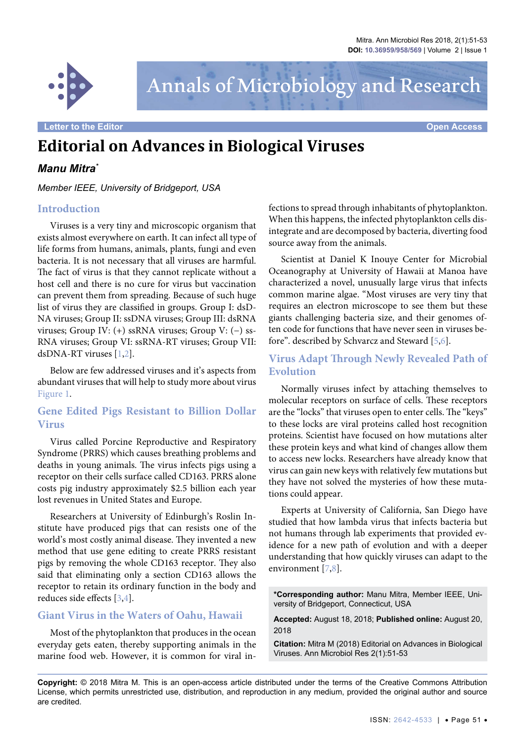

Annals of Microbiology and Research

# **Editorial on Advances in Biological Viruses**

# *Manu Mitra\**

*Member IEEE, University of Bridgeport, USA*

### **Introduction**

Viruses is a very tiny and microscopic organism that exists almost everywhere on earth. It can infect all type of life forms from humans, animals, plants, fungi and even bacteria. It is not necessary that all viruses are harmful. The fact of virus is that they cannot replicate without a host cell and there is no cure for virus but vaccination can prevent them from spreading. Because of such huge list of virus they are classified in groups. Group I: dsD-NA viruses; Group II: ssDNA viruses; Group III: dsRNA viruses; Group IV: (+) ssRNA viruses; Group V: (−) ss-RNA viruses; Group VI: ssRNA-RT viruses; Group VII: dsDNA-RT viruses [\[1,](#page-2-0)[2](#page-2-1)].

Below are few addressed viruses and it's aspects from abundant viruses that will help to study more about virus [Figure 1.](#page-1-0)

# **Gene Edited Pigs Resistant to Billion Dollar Virus**

Virus called Porcine Reproductive and Respiratory Syndrome (PRRS) which causes breathing problems and deaths in young animals. The virus infects pigs using a receptor on their cells surface called CD163. PRRS alone costs pig industry approximately \$2.5 billion each year lost revenues in United States and Europe.

Researchers at University of Edinburgh's Roslin Institute have produced pigs that can resists one of the world's most costly animal disease. They invented a new method that use gene editing to create PRRS resistant pigs by removing the whole CD163 receptor. They also said that eliminating only a section CD163 allows the receptor to retain its ordinary function in the body and reduces side effects [[3](#page-2-2)[,4\]](#page-2-3).

# **Giant Virus in the Waters of Oahu, Hawaii**

Most of the phytoplankton that produces in the ocean everyday gets eaten, thereby supporting animals in the marine food web. However, it is common for viral infections to spread through inhabitants of phytoplankton. When this happens, the infected phytoplankton cells disintegrate and are decomposed by bacteria, diverting food source away from the animals.

Scientist at Daniel K Inouye Center for Microbial Oceanography at University of Hawaii at Manoa have characterized a novel, unusually large virus that infects common marine algae. "Most viruses are very tiny that requires an electron microscope to see them but these giants challenging bacteria size, and their genomes often code for functions that have never seen in viruses before". described by Schvarcz and Steward [\[5](#page-2-4),[6](#page-2-5)].

# **Virus Adapt Through Newly Revealed Path of Evolution**

Normally viruses infect by attaching themselves to molecular receptors on surface of cells. These receptors are the "locks" that viruses open to enter cells. The "keys" to these locks are viral proteins called host recognition proteins. Scientist have focused on how mutations alter these protein keys and what kind of changes allow them to access new locks. Researchers have already know that virus can gain new keys with relatively few mutations but they have not solved the mysteries of how these mutations could appear.

Experts at University of California, San Diego have studied that how lambda virus that infects bacteria but not humans through lab experiments that provided evidence for a new path of evolution and with a deeper understanding that how quickly viruses can adapt to the environment [[7](#page-2-6)[,8\]](#page-2-7).

**\*Corresponding author:** Manu Mitra, Member IEEE, University of Bridgeport, Connecticut, USA

**Accepted:** August 18, 2018; **Published online:** August 20, 2018

**Citation:** Mitra M (2018) Editorial on Advances in Biological Viruses. Ann Microbiol Res 2(1):51-53

**Copyright:** © 2018 Mitra M. This is an open-access article distributed under the terms of the Creative Commons Attribution License, which permits unrestricted use, distribution, and reproduction in any medium, provided the original author and source are credited.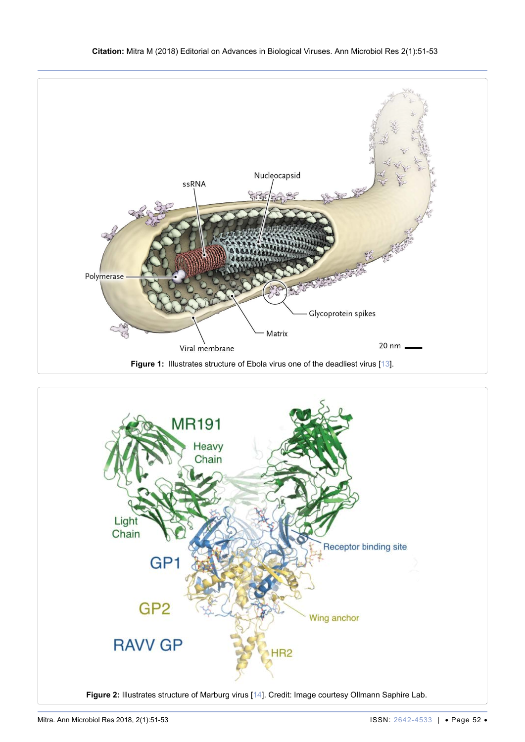<span id="page-1-0"></span>

<span id="page-1-1"></span>